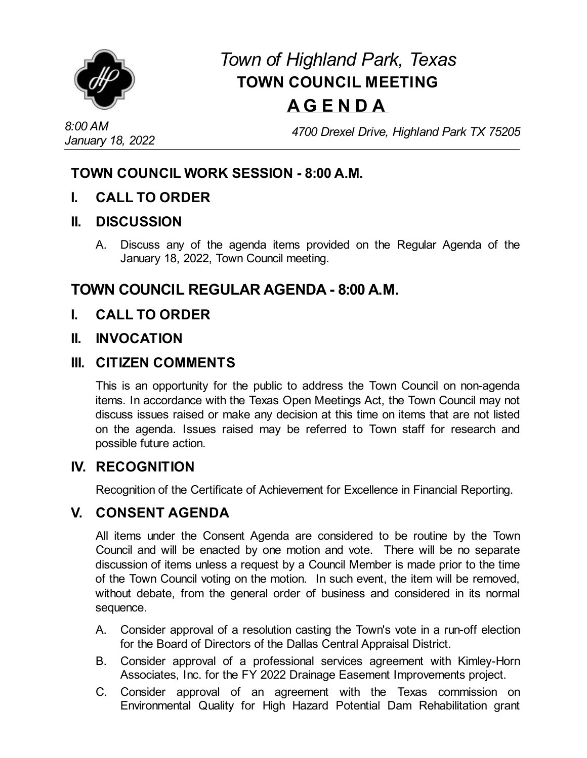

# *Town of Highland Park, Texas* **TOWN COUNCIL MEETING A G E N D A**

*4700 Drexel Drive, Highland Park TX 75205*

# **TOWN COUNCIL WORK SESSION - 8:00 A.M.**

**I. CALL TO ORDER**

#### **II. DISCUSSION**

A. Discuss any of the agenda items provided on the Regular Agenda of the January 18, 2022, Town Council meeting.

# **TOWN COUNCIL REGULAR AGENDA - 8:00 A.M.**

**I. CALL TO ORDER**

#### **II. INVOCATION**

#### **III. CITIZEN COMMENTS**

This is an opportunity for the public to address the Town Council on non-agenda items. In accordance with the Texas Open Meetings Act, the Town Council may not discuss issues raised or make any decision at this time on items that are not listed on the agenda. Issues raised may be referred to Town staff for research and possible future action.

#### **IV. RECOGNITION**

Recognition of the Certificate of [Achievement](file:///C:/Windows/TEMP/CoverSheet.aspx?ItemID=4527&MeetingID=735) for Excellence in Financial Reporting.

### **V. CONSENT AGENDA**

All items under the Consent Agenda are considered to be routine by the Town Council and will be enacted by one motion and vote. There will be no separate discussion of items unless a request by a Council Member is made prior to the time of the Town Council voting on the motion. In such event, the item will be removed, without debate, from the general order of business and considered in its normal sequence.

- A. Consider approval of a [resolution](file:///C:/Windows/TEMP/CoverSheet.aspx?ItemID=4529&MeetingID=735) casting the Town's vote in a run-off election for the Board of Directors of the Dallas Central Appraisal District.
- B. Consider approval of a professional services agreement with Kimley-Horn Associates, Inc. for the FY 2022 Drainage Easement [Improvements](file:///C:/Windows/TEMP/CoverSheet.aspx?ItemID=4533&MeetingID=735) project.
- C. Consider approval of an agreement with the Texas commission on [Environmental](file:///C:/Windows/TEMP/CoverSheet.aspx?ItemID=4541&MeetingID=735) Quality for High Hazard Potential Dam Rehabilitation grant